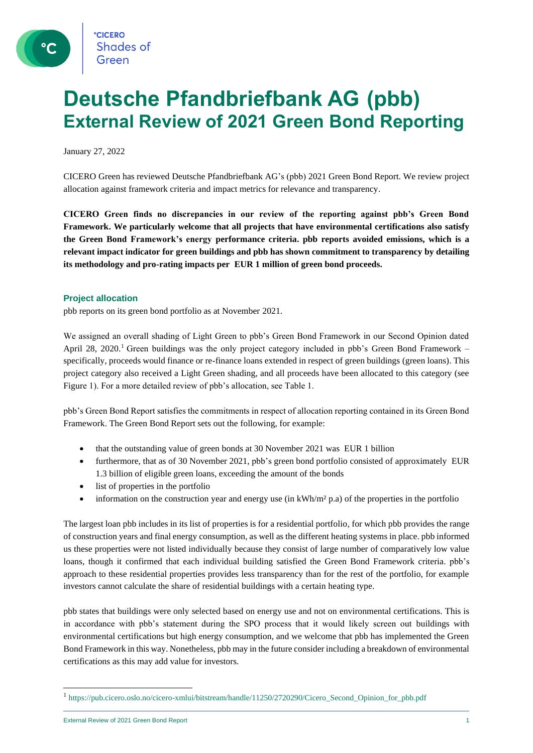# **Deutsche Pfandbriefbank AG (pbb) External Review of 2021 Green Bond Reporting**

January 27, 2022

CICERO Green has reviewed Deutsche Pfandbriefbank AG's (pbb) 2021 Green Bond Report. We review project allocation against framework criteria and impact metrics for relevance and transparency.

**CICERO Green finds no discrepancies in our review of the reporting against pbb's Green Bond Framework. We particularly welcome that all projects that have environmental certifications also satisfy the Green Bond Framework's energy performance criteria. pbb reports avoided emissions, which is a relevant impact indicator for green buildings and pbb has shown commitment to transparency by detailing its methodology and pro-rating impacts per EUR 1 million of green bond proceeds.** 

#### **Project allocation**

pbb reports on its green bond portfolio as at November 2021.

We assigned an overall shading of Light Green to pbb's Green Bond Framework in our Second Opinion dated April 28, 2020.<sup>1</sup> Green buildings was the only project category included in pbb's Green Bond Framework – specifically, proceeds would finance or re-finance loans extended in respect of green buildings (green loans). This project category also received a Light Green shading, and all proceeds have been allocated to this category (see Figure 1). For a more detailed review of pbb's allocation, see Table 1.

pbb's Green Bond Report satisfies the commitments in respect of allocation reporting contained in its Green Bond Framework. The Green Bond Report sets out the following, for example:

- that the outstanding value of green bonds at 30 November 2021 was EUR 1 billion
- furthermore, that as of 30 November 2021, pbb's green bond portfolio consisted of approximately EUR 1.3 billion of eligible green loans, exceeding the amount of the bonds
- list of properties in the portfolio
- information on the construction year and energy use (in  $kWh/m<sup>2</sup> p.a$ ) of the properties in the portfolio

The largest loan pbb includes in its list of properties is for a residential portfolio, for which pbb provides the range of construction years and final energy consumption, as well as the different heating systems in place. pbb informed us these properties were not listed individually because they consist of large number of comparatively low value loans, though it confirmed that each individual building satisfied the Green Bond Framework criteria. pbb's approach to these residential properties provides less transparency than for the rest of the portfolio, for example investors cannot calculate the share of residential buildings with a certain heating type.

pbb states that buildings were only selected based on energy use and not on environmental certifications. This is in accordance with pbb's statement during the SPO process that it would likely screen out buildings with environmental certifications but high energy consumption, and we welcome that pbb has implemented the Green Bond Framework in this way. Nonetheless, pbb may in the future consider including a breakdown of environmental certifications as this may add value for investors.

External Review of 2021 Green Bond Report 1 and 2008 1 and 2008 1 and 2008 1 and 2008 1 and 2008 1 and 2008 1 and 2008 1 and 2008 1 and 2008 1 and 2008 1 and 2008 1 and 2008 1 and 2008 1 and 2008 1 and 2008 1 and 2008 1 an

<sup>1</sup> https://pub.cicero.oslo.no/cicero-xmlui/bitstream/handle/11250/2720290/Cicero\_Second\_Opinion\_for\_pbb.pdf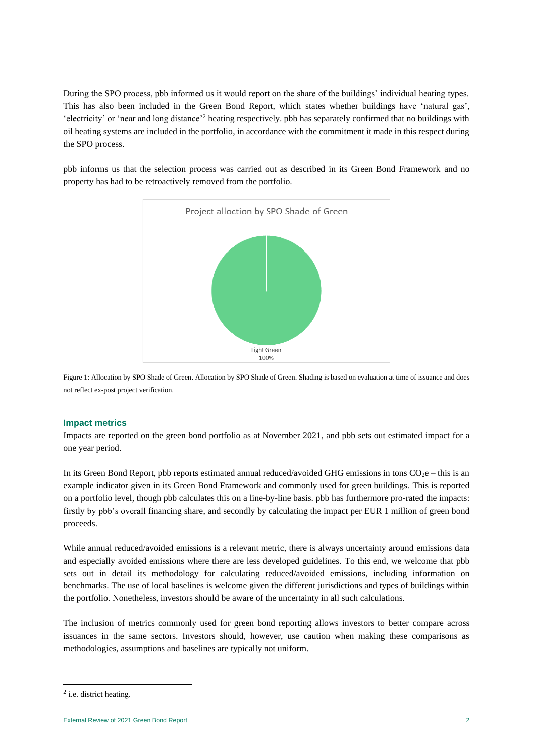During the SPO process, pbb informed us it would report on the share of the buildings' individual heating types. This has also been included in the Green Bond Report, which states whether buildings have 'natural gas', 'electricity' or 'near and long distance'<sup>2</sup> heating respectively. pbb has separately confirmed that no buildings with oil heating systems are included in the portfolio, in accordance with the commitment it made in this respect during the SPO process.

pbb informs us that the selection process was carried out as described in its Green Bond Framework and no property has had to be retroactively removed from the portfolio.



Figure 1: Allocation by SPO Shade of Green. Allocation by SPO Shade of Green. Shading is based on evaluation at time of issuance and does not reflect ex-post project verification.

#### **Impact metrics**

Impacts are reported on the green bond portfolio as at November 2021, and pbb sets out estimated impact for a one year period.

In its Green Bond Report, pbb reports estimated annual reduced/avoided GHG emissions in tons  $CO_2e$  – this is an example indicator given in its Green Bond Framework and commonly used for green buildings. This is reported on a portfolio level, though pbb calculates this on a line-by-line basis. pbb has furthermore pro-rated the impacts: firstly by pbb's overall financing share, and secondly by calculating the impact per EUR 1 million of green bond proceeds.

While annual reduced/avoided emissions is a relevant metric, there is always uncertainty around emissions data and especially avoided emissions where there are less developed guidelines. To this end, we welcome that pbb sets out in detail its methodology for calculating reduced/avoided emissions, including information on benchmarks. The use of local baselines is welcome given the different jurisdictions and types of buildings within the portfolio. Nonetheless, investors should be aware of the uncertainty in all such calculations.

The inclusion of metrics commonly used for green bond reporting allows investors to better compare across issuances in the same sectors. Investors should, however, use caution when making these comparisons as methodologies, assumptions and baselines are typically not uniform.

 $2$  i.e. district heating.

External Review of 2021 Green Bond Report 2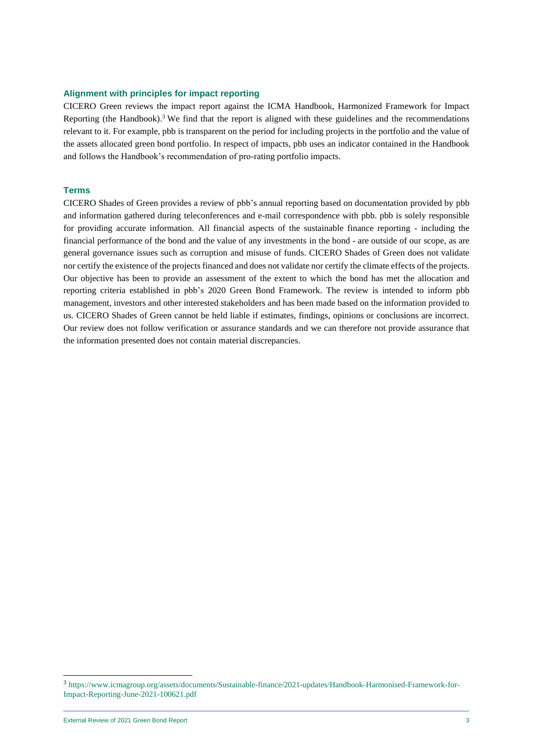#### **Alignment with principles for impact reporting**

CICERO Green reviews the impact report against the ICMA Handbook, Harmonized Framework for Impact Reporting (the Handbook). <sup>3</sup> We find that the report is aligned with these guidelines and the recommendations relevant to it. For example, pbb is transparent on the period for including projects in the portfolio and the value of the assets allocated green bond portfolio. In respect of impacts, pbb uses an indicator contained in the Handbook and follows the Handbook's recommendation of pro-rating portfolio impacts.

#### **Terms**

CICERO Shades of Green provides a review of pbb's annual reporting based on documentation provided by pbb and information gathered during teleconferences and e-mail correspondence with pbb. pbb is solely responsible for providing accurate information. All financial aspects of the sustainable finance reporting - including the financial performance of the bond and the value of any investments in the bond - are outside of our scope, as are general governance issues such as corruption and misuse of funds. CICERO Shades of Green does not validate nor certify the existence of the projects financed and does not validate nor certify the climate effects of the projects. Our objective has been to provide an assessment of the extent to which the bond has met the allocation and reporting criteria established in pbb's 2020 Green Bond Framework. The review is intended to inform pbb management, investors and other interested stakeholders and has been made based on the information provided to us. CICERO Shades of Green cannot be held liable if estimates, findings, opinions or conclusions are incorrect. Our review does not follow verification or assurance standards and we can therefore not provide assurance that the information presented does not contain material discrepancies.

<sup>3</sup> https://www.icmagroup.org/assets/documents/Sustainable-finance/2021-updates/Handbook-Harmonised-Framework-for-Impact-Reporting-June-2021-100621.pdf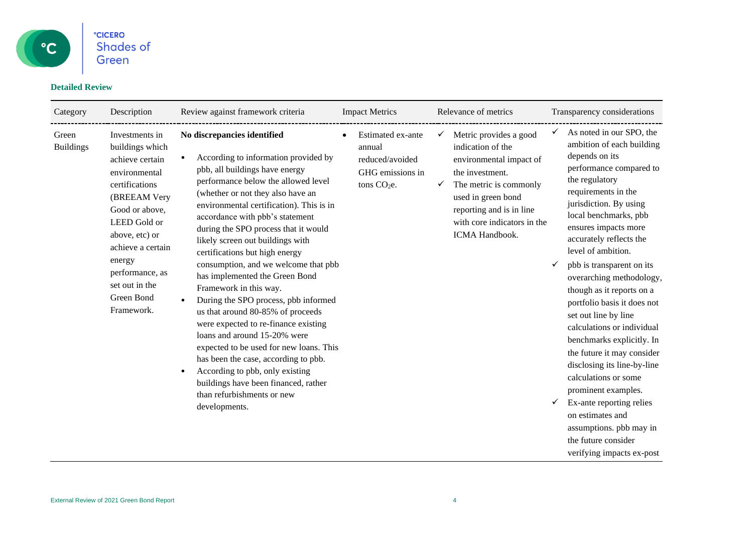

### **Detailed Review**

| Category                  | Description                                                                                                                                                                                                                                                 | Review against framework criteria                                                                                                                                                                                                                                                                                                                                                                                                                                                                                                                                                                                                                                                                                                                                                                                                                                              | <b>Impact Metrics</b>                                                                         | Relevance of metrics                                                                                                                                                                                                                   | Transparency considerations                                                                                                                                                                                                                                                                                                                                                                                                                                                                                                                                                                                                                                                                                                     |
|---------------------------|-------------------------------------------------------------------------------------------------------------------------------------------------------------------------------------------------------------------------------------------------------------|--------------------------------------------------------------------------------------------------------------------------------------------------------------------------------------------------------------------------------------------------------------------------------------------------------------------------------------------------------------------------------------------------------------------------------------------------------------------------------------------------------------------------------------------------------------------------------------------------------------------------------------------------------------------------------------------------------------------------------------------------------------------------------------------------------------------------------------------------------------------------------|-----------------------------------------------------------------------------------------------|----------------------------------------------------------------------------------------------------------------------------------------------------------------------------------------------------------------------------------------|---------------------------------------------------------------------------------------------------------------------------------------------------------------------------------------------------------------------------------------------------------------------------------------------------------------------------------------------------------------------------------------------------------------------------------------------------------------------------------------------------------------------------------------------------------------------------------------------------------------------------------------------------------------------------------------------------------------------------------|
| Green<br><b>Buildings</b> | Investments in<br>buildings which<br>achieve certain<br>environmental<br>certifications<br>(BREEAM Very<br>Good or above,<br>LEED Gold or<br>above, etc) or<br>achieve a certain<br>energy<br>performance, as<br>set out in the<br>Green Bond<br>Framework. | No discrepancies identified<br>According to information provided by<br>$\bullet$<br>pbb, all buildings have energy<br>performance below the allowed level<br>(whether or not they also have an<br>environmental certification). This is in<br>accordance with pbb's statement<br>during the SPO process that it would<br>likely screen out buildings with<br>certifications but high energy<br>consumption, and we welcome that pbb<br>has implemented the Green Bond<br>Framework in this way.<br>During the SPO process, pbb informed<br>us that around 80-85% of proceeds<br>were expected to re-finance existing<br>loans and around 15-20% were<br>expected to be used for new loans. This<br>has been the case, according to pbb.<br>According to pbb, only existing<br>$\bullet$<br>buildings have been financed, rather<br>than refurbishments or new<br>developments. | Estimated ex-ante<br>annual<br>reduced/avoided<br>GHG emissions in<br>tons CO <sub>2</sub> e. | Metric provides a good<br>$\checkmark$<br>indication of the<br>environmental impact of<br>the investment.<br>The metric is commonly<br>used in green bond<br>reporting and is in line<br>with core indicators in the<br>ICMA Handbook. | As noted in our SPO, the<br>ambition of each building<br>depends on its<br>performance compared to<br>the regulatory<br>requirements in the<br>jurisdiction. By using<br>local benchmarks, pbb<br>ensures impacts more<br>accurately reflects the<br>level of ambition.<br>pbb is transparent on its<br>overarching methodology,<br>though as it reports on a<br>portfolio basis it does not<br>set out line by line<br>calculations or individual<br>benchmarks explicitly. In<br>the future it may consider<br>disclosing its line-by-line<br>calculations or some<br>prominent examples.<br>Ex-ante reporting relies<br>✓<br>on estimates and<br>assumptions. pbb may in<br>the future consider<br>verifying impacts ex-post |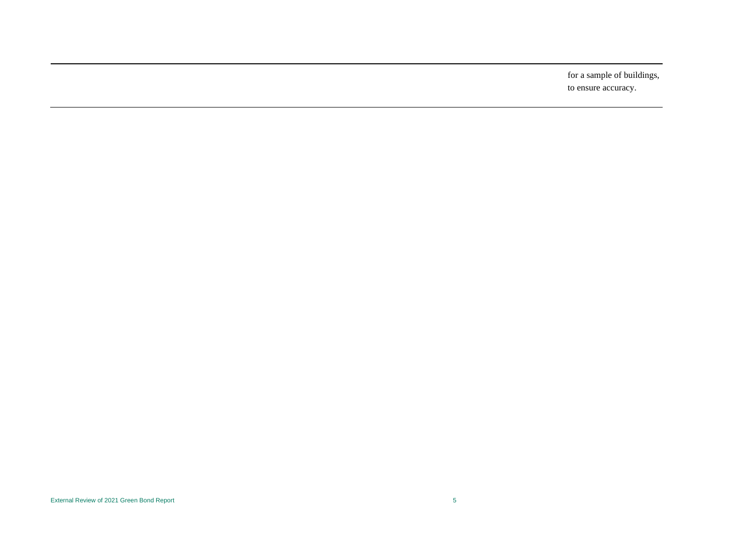for a sample of buildings, to ensure accuracy.